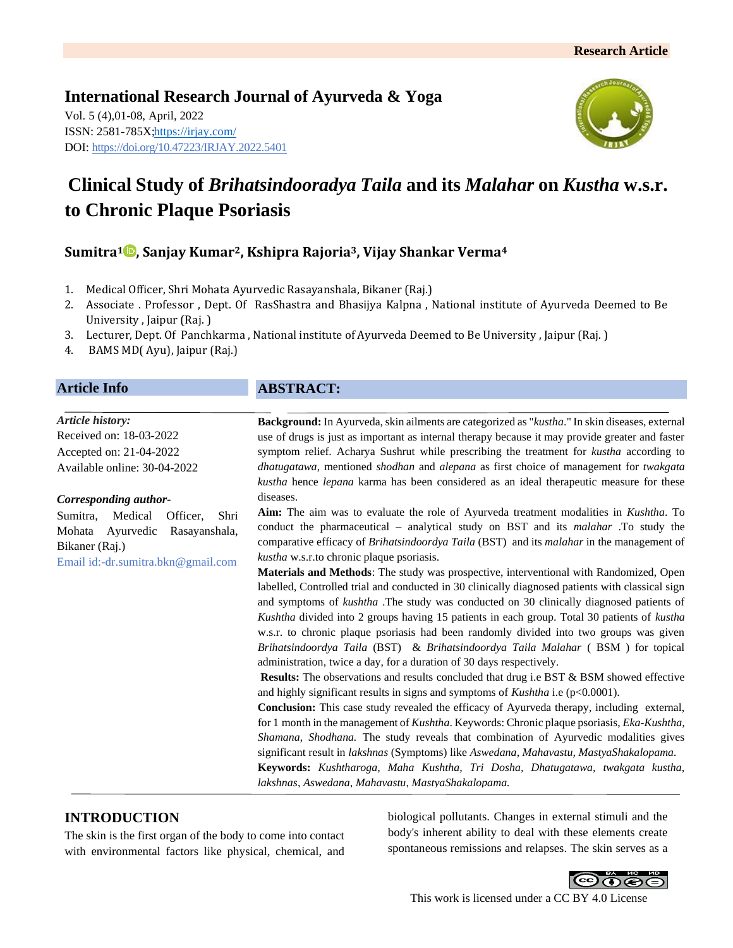# **International Research Journal of Ayurveda & Yoga** Vol. 5 (4),01-08, April, 2022 ISSN: 2581-785X[; https://irjay.com/](https://irjay.com/) DOI: https://doi.org/10.47223/IRJAY.2022.5401



# **Clinical Study of** *Brihatsindooradya Taila* **and its** *Malahar* **on** *Kustha* **w.s.r. to Chronic Plaque Psoriasis**

# **Sumitra<sup>1</sup> , Sanjay Kumar2, Kshipra Rajoria3, Vijay Shankar Verma<sup>4</sup>**

- 1. Medical Officer, Shri Mohata Ayurvedic Rasayanshala, Bikaner (Raj.)
- 2. Associate . Professor , Dept. Of RasShastra and Bhasijya Kalpna , National institute of Ayurveda Deemed to Be University , Jaipur (Raj. )
- 3. Lecturer, Dept. Of Panchkarma , National institute of Ayurveda Deemed to Be University , Jaipur (Raj. )
- 4. BAMS MD( Ayu), Jaipur (Raj.)

# **Article Info**

# **ABSTRACT:**

*Article history:* Received on: 18-03-2022 Accepted on: 21-04-2022 Available online: 30-04-2022

## *Corresponding author-*

Sumitra, Medical Officer, Shri Mohata Ayurvedic Rasayanshala, Bikaner (Raj.)

Email id:-dr.sumitra.bkn@gmail.com

**Background:** In Ayurveda, skin ailments are categorized as "*kustha*." In skin diseases, external use of drugs is just as important as internal therapy because it may provide greater and faster symptom relief. Acharya Sushrut while prescribing the treatment for *kustha* according to *dhatugatawa*, mentioned *shodhan* and *alepana* as first choice of management for *twakgata kustha* hence *lepana* karma has been considered as an ideal therapeutic measure for these diseases.

**Aim:** The aim was to evaluate the role of Ayurveda treatment modalities in *Kushtha*. To conduct the pharmaceutical – analytical study on BST and its *malahar* .To study the comparative efficacy of *Brihatsindoordya Taila* (BST) and its *malahar* in the management of *kustha* w.s.r.to chronic plaque psoriasis.

**Materials and Methods**: The study was prospective, interventional with Randomized, Open labelled, Controlled trial and conducted in 30 clinically diagnosed patients with classical sign and symptoms of *kushtha* .The study was conducted on 30 clinically diagnosed patients of *Kushtha* divided into 2 groups having 15 patients in each group. Total 30 patients of *kustha*  w.s.r. to chronic plaque psoriasis had been randomly divided into two groups was given *Brihatsindoordya Taila* (BST) & *Brihatsindoordya Taila Malahar* ( BSM ) for topical administration, twice a day, for a duration of 30 days respectively.

**Results:** The observations and results concluded that drug i.e BST & BSM showed effective and highly significant results in signs and symptoms of *Kushtha* i.e (p<0.0001).

**Conclusion:** This case study revealed the efficacy of Ayurveda therapy, including external, for 1 month in the management of *Kushtha*. Keywords: Chronic plaque psoriasis, *Eka-Kushtha, Shamana*, *Shodhana.* The study reveals that combination of Ayurvedic modalities gives significant result in *lakshnas* (Symptoms) like *Aswedana, Mahavastu, MastyaShakalopama.* **Keywords:** *Kushtharoga, Maha Kushtha, Tri Dosha, Dhatugatawa, twakgata kustha, lakshnas*, *Aswedana, Mahavastu, MastyaShakalopama.*

# **INTRODUCTION**

The skin is the first organ of the body to come into contact with environmental factors like physical, chemical, and biological pollutants. Changes in external stimuli and the body's inherent ability to deal with these elements create spontaneous remissions and relapses. The skin serves as a

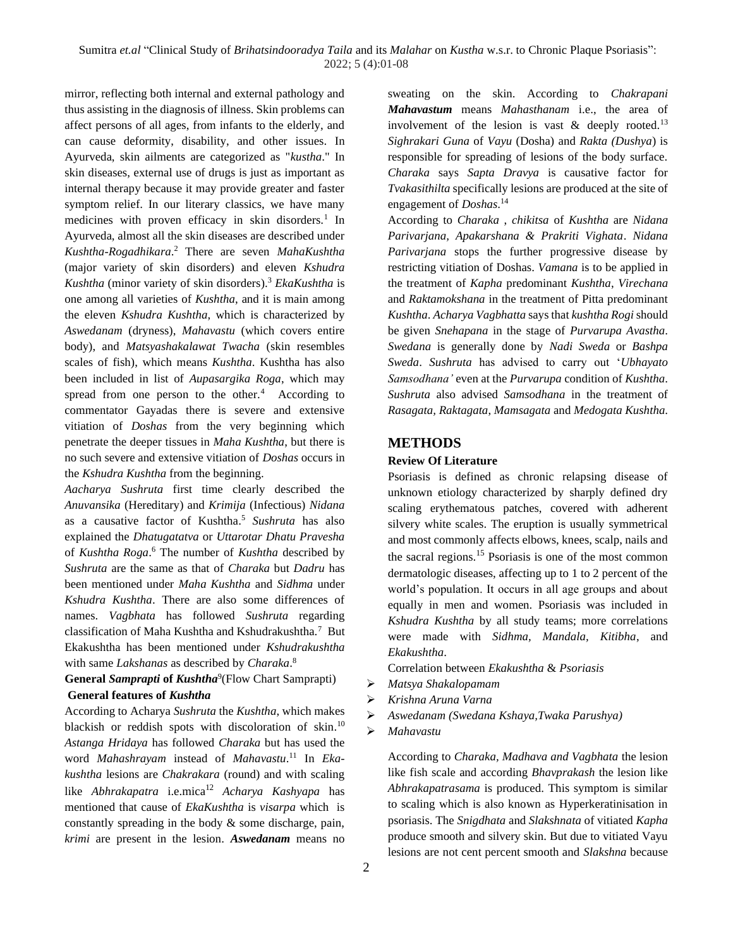mirror, reflecting both internal and external pathology and thus assisting in the diagnosis of illness. Skin problems can affect persons of all ages, from infants to the elderly, and can cause deformity, disability, and other issues. In Ayurveda, skin ailments are categorized as "*kustha*." In skin diseases, external use of drugs is just as important as internal therapy because it may provide greater and faster symptom relief. In our literary classics, we have many medicines with proven efficacy in skin disorders.<sup>1</sup> In Ayurveda, almost all the skin diseases are described under *Kushtha-Rogadhikara*. <sup>2</sup> There are seven *MahaKushtha* (major variety of skin disorders) and eleven *Kshudra Kushtha* (minor variety of skin disorders). <sup>3</sup> *EkaKushtha* is one among all varieties of *Kushtha*, and it is main among the eleven *Kshudra Kushtha*, which is characterized by *Aswedanam* (dryness), *Mahavastu* (which covers entire body), and *Matsyashakalawat Twacha* (skin resembles scales of fish), which means *Kushtha*. Kushtha has also been included in list of *Aupasargika Roga*, which may spread from one person to the other.<sup>4</sup> According to commentator Gayadas there is severe and extensive vitiation of *Doshas* from the very beginning which penetrate the deeper tissues in *Maha Kushtha*, but there is no such severe and extensive vitiation of *Doshas* occurs in the *Kshudra Kushtha* from the beginning.

*Aacharya Sushruta* first time clearly described the *Anuvansika* (Hereditary) and *Krimija* (Infectious) *Nidana* as a causative factor of Kushtha. <sup>5</sup> *Sushruta* has also explained the *Dhatugatatva* or *Uttarotar Dhatu Pravesha* of *Kushtha Roga*. <sup>6</sup> The number of *Kushtha* described by *Sushruta* are the same as that of *Charaka* but *Dadru* has been mentioned under *Maha Kushtha* and *Sidhma* under *Kshudra Kushtha*. There are also some differences of names. *Vagbhata* has followed *Sushruta* regarding classification of Maha Kushtha and Kshudrakushtha.<sup>7</sup> But Ekakushtha has been mentioned under *Kshudrakushtha* with same *Lakshanas* as described by *Charaka*. 8

# General *Samprapti* of *Kushtha*<sup>9</sup>(Flow Chart Samprapti) **General features of** *Kushtha*

According to Acharya *Sushruta* the *Kushtha*, which makes blackish or reddish spots with discoloration of skin.<sup>10</sup> *Astanga Hridaya* has followed *Charaka* but has used the word *Mahashrayam* instead of *Mahavastu*. <sup>11</sup> In *Ekakushtha* lesions are *Chakrakara* (round) and with scaling like *Abhrakapatra* i.e.mica<sup>12</sup> *Acharya Kashyapa* has mentioned that cause of *EkaKushtha* is *visarpa* which is constantly spreading in the body & some discharge, pain, *krimi* are present in the lesion. *Aswedanam* means no sweating on the skin. According to *Chakrapani Mahavastum* means *Mahasthanam* i.e., the area of involvement of the lesion is vast  $\&$  deeply rooted.<sup>13</sup> *Sighrakari Guna* of *Vayu* (Dosha) and *Rakta (Dushya*) is responsible for spreading of lesions of the body surface. *Charaka* says *Sapta Dravya* is causative factor for *Tvakasithilta* specifically lesions are produced at the site of engagement of *Doshas*. 14

According to *Charaka* , *chikitsa* of *Kushtha* are *Nidana Parivarjana, Apakarshana & Prakriti Vighata*. *Nidana Parivarjana* stops the further progressive disease by restricting vitiation of Doshas. *Vamana* is to be applied in the treatment of *Kapha* predominant *Kushtha*, *Virechana* and *Raktamokshana* in the treatment of Pitta predominant *Kushtha*. *Acharya Vagbhatta* says that *kushtha Rogi* should be given *Snehapana* in the stage of *Purvarupa Avastha*. *Swedana* is generally done by *Nadi Sweda* or *Bashpa Sweda*. *Sushruta* has advised to carry out '*Ubhayato Samsodhana'* even at the *Purvarupa* condition of *Kushtha*. *Sushruta* also advised *Samsodhana* in the treatment of *Rasagata, Raktagata*, *Mamsagata* and *Medogata Kushtha*.

#### **METHODS**

## **Review Of Literature**

Psoriasis is defined as chronic relapsing disease of unknown etiology characterized by sharply defined dry scaling erythematous patches, covered with adherent silvery white scales. The eruption is usually symmetrical and most commonly affects elbows, knees, scalp, nails and the sacral regions.<sup>15</sup> Psoriasis is one of the most common dermatologic diseases, affecting up to 1 to 2 percent of the world's population. It occurs in all age groups and about equally in men and women. Psoriasis was included in *Kshudra Kushtha* by all study teams; more correlations were made with *Sidhma, Mandala, Kitibha*, and *Ekakushtha*.

Correlation between *Ekakushtha* & *Psoriasis*

- ➢ *Matsya Shakalopamam*
- ➢ *Krishna Aruna Varna*
- ➢ *Aswedanam (Swedana Kshaya,Twaka Parushya)*
- ➢ *Mahavastu*

According to *Charaka, Madhava and Vagbhata* the lesion like fish scale and according *Bhavprakash* the lesion like *Abhrakapatrasama* is produced. This symptom is similar to scaling which is also known as Hyperkeratinisation in psoriasis. The *Snigdhata* and *Slakshnata* of vitiated *Kapha*  produce smooth and silvery skin. But due to vitiated Vayu lesions are not cent percent smooth and *Slakshna* because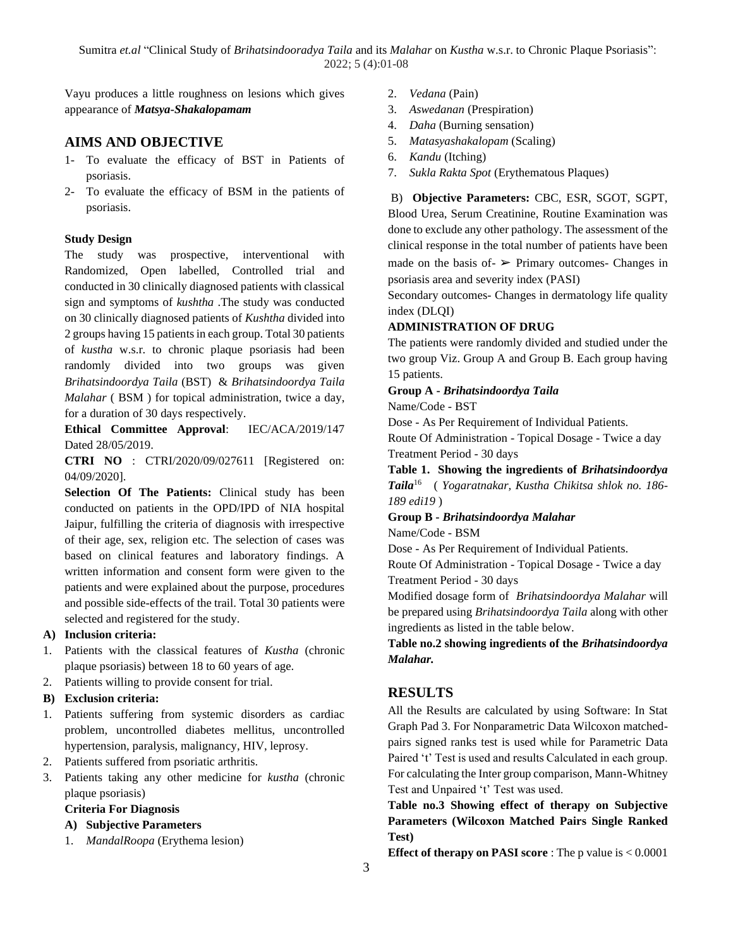Sumitra *et.al* "Clinical Study of *Brihatsindooradya Taila* and its *Malahar* on *Kustha* w.s.r. to Chronic Plaque Psoriasis": 2022; 5 (4):01-08

Vayu produces a little roughness on lesions which gives appearance of *Matsya-Shakalopamam*

#### **AIMS AND OBJECTIVE**

- 1- To evaluate the efficacy of BST in Patients of psoriasis.
- 2- To evaluate the efficacy of BSM in the patients of psoriasis.

#### **Study Design**

The study was prospective, interventional with Randomized, Open labelled, Controlled trial and conducted in 30 clinically diagnosed patients with classical sign and symptoms of *kushtha* .The study was conducted on 30 clinically diagnosed patients of *Kushtha* divided into 2 groups having 15 patients in each group. Total 30 patients of *kustha* w.s.r. to chronic plaque psoriasis had been randomly divided into two groups was given *Brihatsindoordya Taila* (BST) & *Brihatsindoordya Taila Malahar* ( BSM ) for topical administration, twice a day, for a duration of 30 days respectively.

**Ethical Committee Approval**: IEC/ACA/2019/147 Dated 28/05/2019.

**CTRI NO** : CTRI/2020/09/027611 [Registered on: 04/09/2020].

**Selection Of The Patients:** Clinical study has been conducted on patients in the OPD/IPD of NIA hospital Jaipur, fulfilling the criteria of diagnosis with irrespective of their age, sex, religion etc. The selection of cases was based on clinical features and laboratory findings. A written information and consent form were given to the patients and were explained about the purpose, procedures and possible side-effects of the trail. Total 30 patients were selected and registered for the study.

#### **A) Inclusion criteria:**

- 1. Patients with the classical features of *Kustha* (chronic plaque psoriasis) between 18 to 60 years of age.
- 2. Patients willing to provide consent for trial.

#### **B) Exclusion criteria:**

- 1. Patients suffering from systemic disorders as cardiac problem, uncontrolled diabetes mellitus, uncontrolled hypertension, paralysis, malignancy, HIV, leprosy.
- 2. Patients suffered from psoriatic arthritis.
- 3. Patients taking any other medicine for *kustha* (chronic plaque psoriasis)

#### **Criteria For Diagnosis**

## **A) Subjective Parameters**

1. *MandalRoopa* (Erythema lesion)

- 2. *Vedana* (Pain)
- 3. *Aswedanan* (Prespiration)
- 4. *Daha* (Burning sensation)
- 5. *Matasyashakalopam* (Scaling)
- 6. *Kandu* (Itching)
- 7. *Sukla Rakta Spot* (Erythematous Plaques)

B) **Objective Parameters:** CBC, ESR, SGOT, SGPT, Blood Urea, Serum Creatinine, Routine Examination was done to exclude any other pathology. The assessment of the clinical response in the total number of patients have been made on the basis of  $\triangleright$  Primary outcomes- Changes in psoriasis area and severity index (PASI)

Secondary outcomes- Changes in dermatology life quality index (DLQI)

#### **ADMINISTRATION OF DRUG**

The patients were randomly divided and studied under the two group Viz. Group A and Group B. Each group having 15 patients.

#### **Group A -** *Brihatsindoordya Taila*

Name/Code - BST

Dose - As Per Requirement of Individual Patients.

Route Of Administration - Topical Dosage - Twice a day Treatment Period - 30 days

**Table 1. Showing the ingredients of** *Brihatsindoordya Taila*<sup>16</sup> ( *Yogaratnakar, Kustha Chikitsa shlok no. 186- 189 edi19* )

#### **Group B -** *Brihatsindoordya Malahar*

Name/Code - BSM

Dose - As Per Requirement of Individual Patients.

Route Of Administration - Topical Dosage - Twice a day Treatment Period - 30 days

Modified dosage form of *Brihatsindoordya Malahar* will be prepared using *Brihatsindoordya Taila* along with other ingredients as listed in the table below.

**Table no.2 showing ingredients of the** *Brihatsindoordya Malahar.*

# **RESULTS**

All the Results are calculated by using Software: In Stat Graph Pad 3. For Nonparametric Data Wilcoxon matchedpairs signed ranks test is used while for Parametric Data Paired 't' Test is used and results Calculated in each group. For calculating the Inter group comparison, Mann-Whitney Test and Unpaired 't' Test was used.

**Table no.3 Showing effect of therapy on Subjective Parameters (Wilcoxon Matched Pairs Single Ranked Test)**

**Effect of therapy on PASI score** : The p value is < 0.0001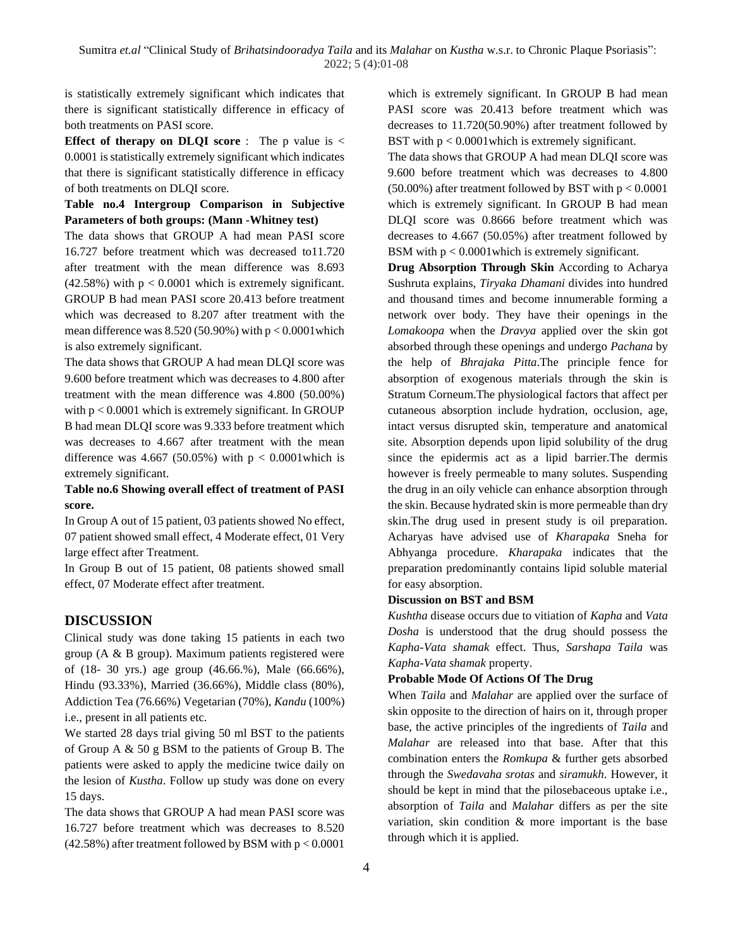is statistically extremely significant which indicates that there is significant statistically difference in efficacy of both treatments on PASI score.

**Effect of therapy on DLQI score** : The p value is < 0.0001 is statistically extremely significant which indicates that there is significant statistically difference in efficacy of both treatments on DLQI score.

# **Table no.4 Intergroup Comparison in Subjective Parameters of both groups: (Mann -Whitney test)**

The data shows that GROUP A had mean PASI score 16.727 before treatment which was decreased to11.720 after treatment with the mean difference was 8.693  $(42.58\%)$  with  $p < 0.0001$  which is extremely significant. GROUP B had mean PASI score 20.413 before treatment which was decreased to 8.207 after treatment with the mean difference was  $8.520$  (50.90%) with  $p < 0.0001$  which is also extremely significant.

The data shows that GROUP A had mean DLQI score was 9.600 before treatment which was decreases to 4.800 after treatment with the mean difference was 4.800 (50.00%) with  $p < 0.0001$  which is extremely significant. In GROUP B had mean DLQI score was 9.333 before treatment which was decreases to 4.667 after treatment with the mean difference was 4.667 (50.05%) with  $p < 0.0001$  which is extremely significant.

#### **Table no.6 Showing overall effect of treatment of PASI score.**

In Group A out of 15 patient, 03 patients showed No effect, 07 patient showed small effect, 4 Moderate effect, 01 Very large effect after Treatment.

In Group B out of 15 patient, 08 patients showed small effect, 07 Moderate effect after treatment.

# **DISCUSSION**

Clinical study was done taking 15 patients in each two group (A & B group). Maximum patients registered were of (18- 30 yrs.) age group (46.66.%), Male (66.66%), Hindu (93.33%), Married (36.66%), Middle class (80%), Addiction Tea (76.66%) Vegetarian (70%), *Kandu* (100%) i.e., present in all patients etc.

We started 28 days trial giving 50 ml BST to the patients of Group A & 50 g BSM to the patients of Group B. The patients were asked to apply the medicine twice daily on the lesion of *Kustha*. Follow up study was done on every 15 days.

The data shows that GROUP A had mean PASI score was 16.727 before treatment which was decreases to 8.520 (42.58%) after treatment followed by BSM with  $p < 0.0001$ 

which is extremely significant. In GROUP B had mean PASI score was 20.413 before treatment which was decreases to 11.720(50.90%) after treatment followed by BST with  $p < 0.0001$  which is extremely significant.

The data shows that GROUP A had mean DLQI score was 9.600 before treatment which was decreases to 4.800  $(50.00\%)$  after treatment followed by BST with  $p < 0.0001$ which is extremely significant. In GROUP B had mean DLQI score was 0.8666 before treatment which was decreases to 4.667 (50.05%) after treatment followed by BSM with  $p < 0.0001$  which is extremely significant.

**Drug Absorption Through Skin** According to Acharya Sushruta explains, *Tiryaka Dhamani* divides into hundred and thousand times and become innumerable forming a network over body. They have their openings in the *Lomakoopa* when the *Dravya* applied over the skin got absorbed through these openings and undergo *Pachana* by the help of *Bhrajaka Pitta*.The principle fence for absorption of exogenous materials through the skin is Stratum Corneum.The physiological factors that affect per cutaneous absorption include hydration, occlusion, age, intact versus disrupted skin, temperature and anatomical site. Absorption depends upon lipid solubility of the drug since the epidermis act as a lipid barrier.The dermis however is freely permeable to many solutes. Suspending the drug in an oily vehicle can enhance absorption through the skin. Because hydrated skin is more permeable than dry skin.The drug used in present study is oil preparation. Acharyas have advised use of *Kharapaka* Sneha for Abhyanga procedure. *Kharapaka* indicates that the preparation predominantly contains lipid soluble material for easy absorption.

#### **Discussion on BST and BSM**

*Kushtha* disease occurs due to vitiation of *Kapha* and *Vata Dosha* is understood that the drug should possess the *Kapha-Vata shamak* effect. Thus, *Sarshapa Taila* was *Kapha-Vata shamak* property.

#### **Probable Mode Of Actions Of The Drug**

When *Taila* and *Malahar* are applied over the surface of skin opposite to the direction of hairs on it, through proper base, the active principles of the ingredients of *Taila* and *Malahar* are released into that base. After that this combination enters the *Romkupa* & further gets absorbed through the *Swedavaha srotas* and *siramukh*. However, it should be kept in mind that the pilosebaceous uptake i.e., absorption of *Taila* and *Malahar* differs as per the site variation, skin condition & more important is the base through which it is applied.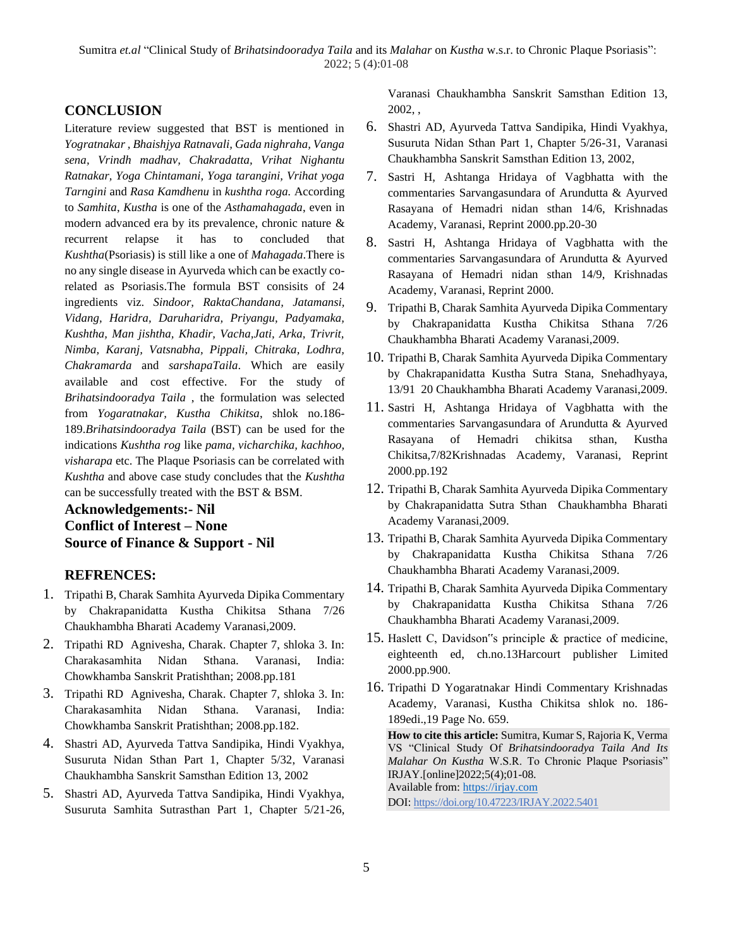# **CONCLUSION**

Literature review suggested that BST is mentioned in *Yogratnakar , Bhaishjya Ratnavali, Gada nighraha, Vanga sena, Vrindh madhav, Chakradatta, Vrihat Nighantu Ratnakar, Yoga Chintamani, Yoga tarangini, Vrihat yoga Tarngini* and *Rasa Kamdhenu* in *kushtha roga.* According to *Samhita*, *Kustha* is one of the *Asthamahagada*, even in modern advanced era by its prevalence, chronic nature & recurrent relapse it has to concluded that *Kushtha*(Psoriasis) is still like a one of *Mahagada*.There is no any single disease in Ayurveda which can be exactly corelated as Psoriasis.The formula BST consisits of 24 ingredients viz. *Sindoor, RaktaChandana, Jatamansi, Vidang, Haridra, Daruharidra, Priyangu, Padyamaka, Kushtha, Man jishtha, Khadir, Vacha,Jati, Arka, Trivrit, Nimba, Karanj, Vatsnabha, Pippali, Chitraka, Lodhra, Chakramarda* and *sarshapaTaila*. Which are easily available and cost effective. For the study of *Brihatsindooradya Taila* , the formulation was selected from *Yogaratnakar, Kustha Chikitsa*, shlok no.186- 189.*Brihatsindooradya Taila* (BST) can be used for the indications *Kushtha rog* like *pama, vicharchika, kachhoo, visharapa* etc. The Plaque Psoriasis can be correlated with *Kushtha* and above case study concludes that the *Kushtha* can be successfully treated with the BST & BSM.

# **Acknowledgements:- Nil Conflict of Interest – None Source of Finance & Support - Nil**

#### **REFRENCES:**

- 1. Tripathi B, Charak Samhita Ayurveda Dipika Commentary by Chakrapanidatta Kustha Chikitsa Sthana 7/26 Chaukhambha Bharati Academy Varanasi,2009.
- 2. Tripathi RD Agnivesha, Charak. Chapter 7, shloka 3. In: Charakasamhita Nidan Sthana. Varanasi, India: Chowkhamba Sanskrit Pratishthan; 2008.pp.181
- 3. Tripathi RD Agnivesha, Charak. Chapter 7, shloka 3. In: Charakasamhita Nidan Sthana. Varanasi, India: Chowkhamba Sanskrit Pratishthan; 2008.pp.182.
- 4. Shastri AD, Ayurveda Tattva Sandipika, Hindi Vyakhya, Susuruta Nidan Sthan Part 1, Chapter 5/32, Varanasi Chaukhambha Sanskrit Samsthan Edition 13, 2002
- 5. Shastri AD, Ayurveda Tattva Sandipika, Hindi Vyakhya, Susuruta Samhita Sutrasthan Part 1, Chapter 5/21-26,

Varanasi Chaukhambha Sanskrit Samsthan Edition 13, 2002, ,

- 6. Shastri AD, Ayurveda Tattva Sandipika, Hindi Vyakhya, Susuruta Nidan Sthan Part 1, Chapter 5/26-31, Varanasi Chaukhambha Sanskrit Samsthan Edition 13, 2002,
- 7. Sastri H, Ashtanga Hridaya of Vagbhatta with the commentaries Sarvangasundara of Arundutta & Ayurved Rasayana of Hemadri nidan sthan 14/6, Krishnadas Academy, Varanasi, Reprint 2000.pp.20-30
- 8. Sastri H, Ashtanga Hridaya of Vagbhatta with the commentaries Sarvangasundara of Arundutta & Ayurved Rasayana of Hemadri nidan sthan 14/9, Krishnadas Academy, Varanasi, Reprint 2000.
- 9. Tripathi B, Charak Samhita Ayurveda Dipika Commentary by Chakrapanidatta Kustha Chikitsa Sthana 7/26 Chaukhambha Bharati Academy Varanasi,2009.
- 10. Tripathi B, Charak Samhita Ayurveda Dipika Commentary by Chakrapanidatta Kustha Sutra Stana, Snehadhyaya, 13/91 20 Chaukhambha Bharati Academy Varanasi,2009.
- 11. Sastri H, Ashtanga Hridaya of Vagbhatta with the commentaries Sarvangasundara of Arundutta & Ayurved Rasayana of Hemadri chikitsa sthan, Kustha Chikitsa,7/82Krishnadas Academy, Varanasi, Reprint 2000.pp.192
- 12. Tripathi B, Charak Samhita Ayurveda Dipika Commentary by Chakrapanidatta Sutra Sthan Chaukhambha Bharati Academy Varanasi,2009.
- 13. Tripathi B, Charak Samhita Ayurveda Dipika Commentary by Chakrapanidatta Kustha Chikitsa Sthana 7/26 Chaukhambha Bharati Academy Varanasi,2009.
- 14. Tripathi B, Charak Samhita Ayurveda Dipika Commentary by Chakrapanidatta Kustha Chikitsa Sthana 7/26 Chaukhambha Bharati Academy Varanasi,2009.
- 15. Haslett C, Davidson"s principle & practice of medicine, eighteenth ed, ch.no.13Harcourt publisher Limited 2000.pp.900.
- 16. Tripathi D Yogaratnakar Hindi Commentary Krishnadas Academy, Varanasi, Kustha Chikitsa shlok no. 186- 189edi.,19 Page No. 659.

**How to cite this article:** Sumitra, Kumar S, Rajoria K, Verma VS "Clinical Study Of *Brihatsindooradya Taila And Its Malahar On Kustha* W.S.R. To Chronic Plaque Psoriasis" IRJAY.[online]2022;5(4);01-08. Available from: [https://irjay.com](https://irjay.com/)

DOI: https://doi.org/10.47223/IRJAY.2022.5401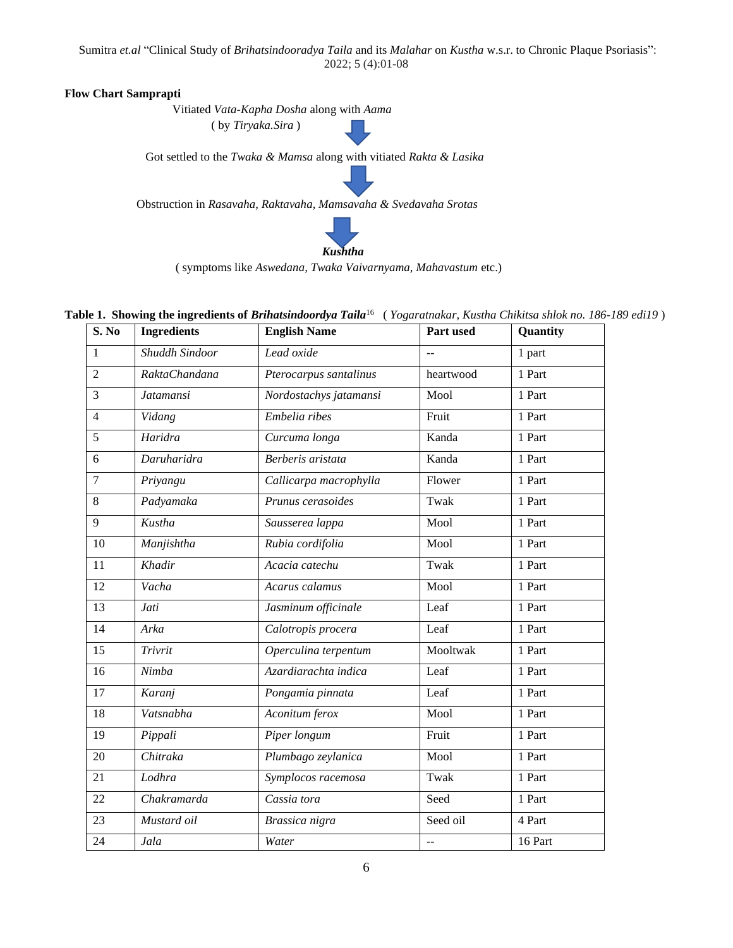Sumitra *et.al* "Clinical Study of *Brihatsindooradya Taila* and its *Malahar* on *Kustha* w.s.r. to Chronic Plaque Psoriasis": 2022; 5 (4):01-08

## **Flow Chart Samprapti**

Vitiated *Vata-Kapha Dosha* along with *Aama*

( by *Tiryaka.Sira* )

Got settled to the *Twaka & Mamsa* along with vitiated *Rakta & Lasika*



Obstruction in *Rasavaha, Raktavaha, Mamsavaha & Svedavaha Srotas*



( symptoms like *Aswedana, Twaka Vaivarnyama, Mahavastum* etc.)

| Table 1. Showing the ingredients of Brihatsindoordya Taila <sup>16</sup> (Yogaratnakar, Kustha Chikitsa shlok no. 186-189 edi19) |
|----------------------------------------------------------------------------------------------------------------------------------|
|----------------------------------------------------------------------------------------------------------------------------------|

| S. No          | <b>Ingredients</b>   | <b>English Name</b>    | Part used | Quantity |
|----------------|----------------------|------------------------|-----------|----------|
| $\mathbf{1}$   | Shuddh Sindoor       | Lead oxide             | 44        | 1 part   |
| $\overline{2}$ | <b>RaktaChandana</b> | Pterocarpus santalinus | heartwood | 1 Part   |
| $\overline{3}$ | <b>Jatamansi</b>     | Nordostachys jatamansi | Mool      | 1 Part   |
| $\overline{4}$ | Vidang               | Embelia ribes          | Fruit     | 1 Part   |
| $\overline{5}$ | Haridra              | Curcuma longa          | Kanda     | 1 Part   |
| 6              | Daruharidra          | Berberis aristata      | Kanda     | 1 Part   |
| $\overline{7}$ | Priyangu             | Callicarpa macrophylla | Flower    | 1 Part   |
| 8              | Padyamaka            | Prunus cerasoides      | Twak      | 1 Part   |
| 9              | Kustha               | Sausserea lappa        | Mool      | 1 Part   |
| 10             | Manjishtha           | Rubia cordifolia       | Mool      | 1 Part   |
| 11             | Khadir               | Acacia catechu         | Twak      | 1 Part   |
| 12             | Vacha                | Acarus calamus         | Mool      | 1 Part   |
| 13             | Jati                 | Jasminum officinale    | Leaf      | 1 Part   |
| 14             | Arka                 | Calotropis procera     | Leaf      | 1 Part   |
| 15             | Trivrit              | Operculina terpentum   | Mooltwak  | 1 Part   |
| 16             | Nimba                | Azardiarachta indica   | Leaf      | 1 Part   |
| 17             | Karanj               | Pongamia pinnata       | Leaf      | 1 Part   |
| 18             | Vatsnabha            | Aconitum ferox         | Mool      | 1 Part   |
| 19             | Pippali              | Piper longum           | Fruit     | 1 Part   |
| 20             | Chitraka             | Plumbago zeylanica     | Mool      | 1 Part   |
| 21             | Lodhra               | Symplocos racemosa     | Twak      | 1 Part   |
| 22             | Chakramarda          | Cassia tora            | Seed      | 1 Part   |
| 23             | Mustard oil          | Brassica nigra         | Seed oil  | 4 Part   |
| 24             | Jala                 | Water                  | --        | 16 Part  |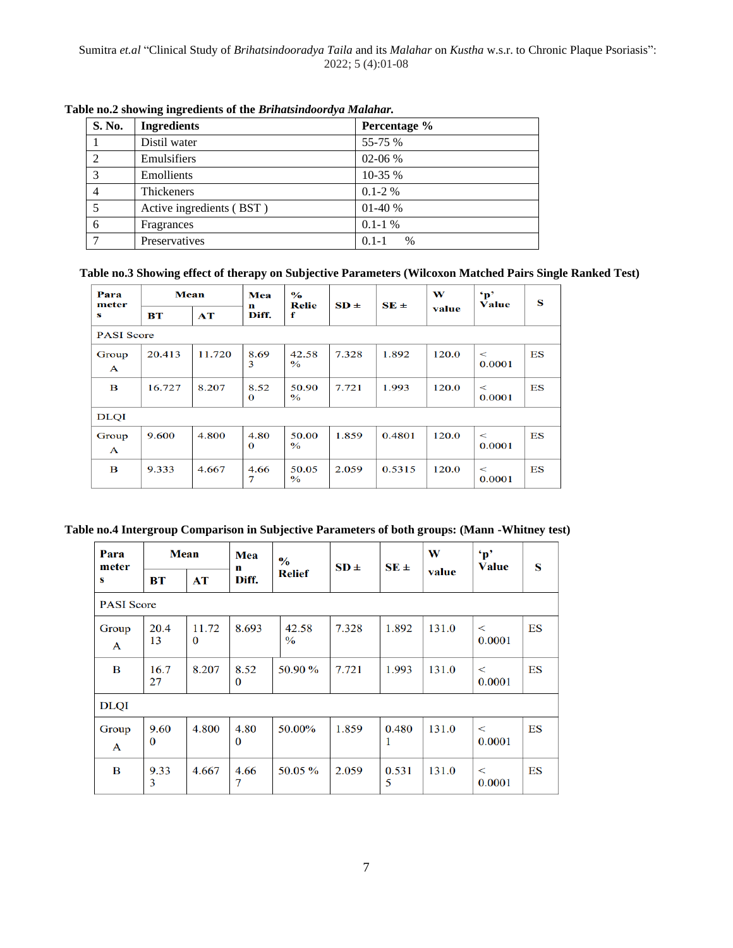| S. No. | <b>Ingredients</b>       | Percentage %      |
|--------|--------------------------|-------------------|
|        | Distil water             | 55-75 %           |
| 2      | Emulsifiers              | 02-06 %           |
| 3      | Emollients               | 10-35 %           |
| 4      | Thickeners               | $0.1 - 2\%$       |
| 5      | Active ingredients (BST) | $01-40%$          |
| 6      | Fragrances               | $0.1 - 1 %$       |
| ⇁      | Preservatives            | $0.1 - 1$<br>$\%$ |

**Table no.2 showing ingredients of the** *Brihatsindoordya Malahar.*

|  | Table no.3 Showing effect of therapy on Subjective Parameters (Wilcoxon Matched Pairs Single Ranked Test) |
|--|-----------------------------------------------------------------------------------------------------------|
|  |                                                                                                           |

| Para<br>meter<br>s    | <b>Mean</b> |        | Mea<br>n         | $\frac{6}{6}$<br><b>Relie</b> | $SD \pm$ | $SE =$ | W     | $\mathbf{p}$<br><b>Value</b> | S  |
|-----------------------|-------------|--------|------------------|-------------------------------|----------|--------|-------|------------------------------|----|
|                       | вт          | AT     | Diff.            | f                             |          |        | value |                              |    |
| <b>PASI</b> Score     |             |        |                  |                               |          |        |       |                              |    |
| Group<br>$\mathbf{A}$ | 20.413      | 11.720 | 8.69<br>3        | 42.58<br>$\frac{6}{6}$        | 7.328    | 1.892  | 120.0 | $\,<\,$<br>0.0001            | ES |
| в                     | 16.727      | 8.207  | 8.52<br>$\bf{0}$ | 50.90<br>$\frac{6}{6}$        | 7.721    | 1.993  | 120.0 | $\,<\,$<br>0.0001            | ES |
| <b>DLQI</b>           |             |        |                  |                               |          |        |       |                              |    |
| Group<br>$\mathbf A$  | 9.600       | 4.800  | 4.80<br>$\Omega$ | 50.00<br>$\frac{6}{6}$        | 1.859    | 0.4801 | 120.0 | $\,<\,$<br>0.0001            | ES |
| в                     | 9.333       | 4.667  | 4.66<br>7        | 50.05<br>$\frac{6}{6}$        | 2.059    | 0.5315 | 120.0 | $\,<\,$<br>0.0001            | ES |

| Table no.4 Intergroup Comparison in Subjective Parameters of both groups: (Mann - Whitney test) |  |  |  |  |  |
|-------------------------------------------------------------------------------------------------|--|--|--|--|--|
|-------------------------------------------------------------------------------------------------|--|--|--|--|--|

| Para<br>meter<br>S    | <b>Mean</b>          |                   | Mea<br>n             | $\frac{6}{6}$          | $SD \pm$ | $SE \pm$   | W     | $p^{\prime}$<br><b>Value</b> | S         |
|-----------------------|----------------------|-------------------|----------------------|------------------------|----------|------------|-------|------------------------------|-----------|
|                       | BT                   | AT                | Diff.                | <b>Relief</b>          |          |            | value |                              |           |
| <b>PASI</b> Score     |                      |                   |                      |                        |          |            |       |                              |           |
| Group<br>$\mathbf{A}$ | 20.4<br>13           | 11.72<br>$\bf{0}$ | 8.693                | 42.58<br>$\frac{0}{0}$ | 7.328    | 1.892      | 131.0 | $\lt$<br>0.0001              | <b>ES</b> |
| B                     | 16.7<br>27           | 8.207             | 8.52<br>$\mathbf{0}$ | 50.90 %                | 7.721    | 1.993      | 131.0 | $\,<\,$<br>0.0001            | ES        |
| <b>DLQI</b>           |                      |                   |                      |                        |          |            |       |                              |           |
| Group<br>$\mathbf{A}$ | 9.60<br>$\mathbf{0}$ | 4.800             | 4.80<br>$\mathbf{0}$ | 50.00%                 | 1.859    | 0.480<br>1 | 131.0 | $\lt$<br>0.0001              | <b>ES</b> |
| B                     | 9.33<br>3            | 4.667             | 4.66<br>7            | 50.05 %                | 2.059    | 0.531<br>5 | 131.0 | $\,<\,$<br>0.0001            | ES        |